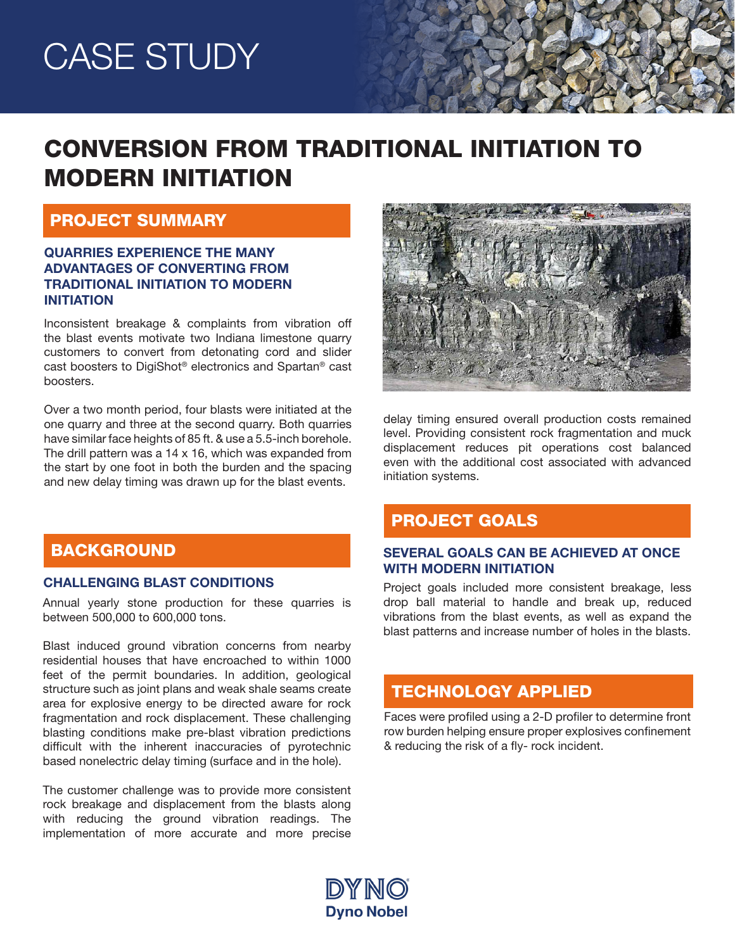# CASE STUDY

# CONVERSION FROM TRADITIONAL INITIATION TO MODERN INITIATION

### PROJECT SUMMARY

#### QUARRIES EXPERIENCE THE MANY ADVANTAGES OF CONVERTING FROM TRADITIONAL INITIATION TO MODERN INITIATION

Inconsistent breakage & complaints from vibration off the blast events motivate two Indiana limestone quarry customers to convert from detonating cord and slider cast boosters to DigiShot® electronics and Spartan® cast boosters.

Over a two month period, four blasts were initiated at the one quarry and three at the second quarry. Both quarries have similar face heights of 85 ft. & use a 5.5-inch borehole. The drill pattern was a 14 x 16, which was expanded from the start by one foot in both the burden and the spacing and new delay timing was drawn up for the blast events.

delay timing ensured overall production costs remained level. Providing consistent rock fragmentation and muck displacement reduces pit operations cost balanced even with the additional cost associated with advanced initiation systems.

# PROJECT GOALS

#### SEVERAL GOALS CAN BE ACHIEVED AT ONCE WITH MODERN INITIATION

Project goals included more consistent breakage, less drop ball material to handle and break up, reduced vibrations from the blast events, as well as expand the blast patterns and increase number of holes in the blasts.

# TECHNOLOGY APPLIED

Faces were profiled using a 2-D profiler to determine front row burden helping ensure proper explosives confinement & reducing the risk of a fly- rock incident.

# BACKGROUND

#### CHALLENGING BLAST CONDITIONS

Annual yearly stone production for these quarries is between 500,000 to 600,000 tons.

Blast induced ground vibration concerns from nearby residential houses that have encroached to within 1000 feet of the permit boundaries. In addition, geological structure such as joint plans and weak shale seams create area for explosive energy to be directed aware for rock fragmentation and rock displacement. These challenging blasting conditions make pre-blast vibration predictions difficult with the inherent inaccuracies of pyrotechnic based nonelectric delay timing (surface and in the hole).

The customer challenge was to provide more consistent rock breakage and displacement from the blasts along with reducing the ground vibration readings. The implementation of more accurate and more precise